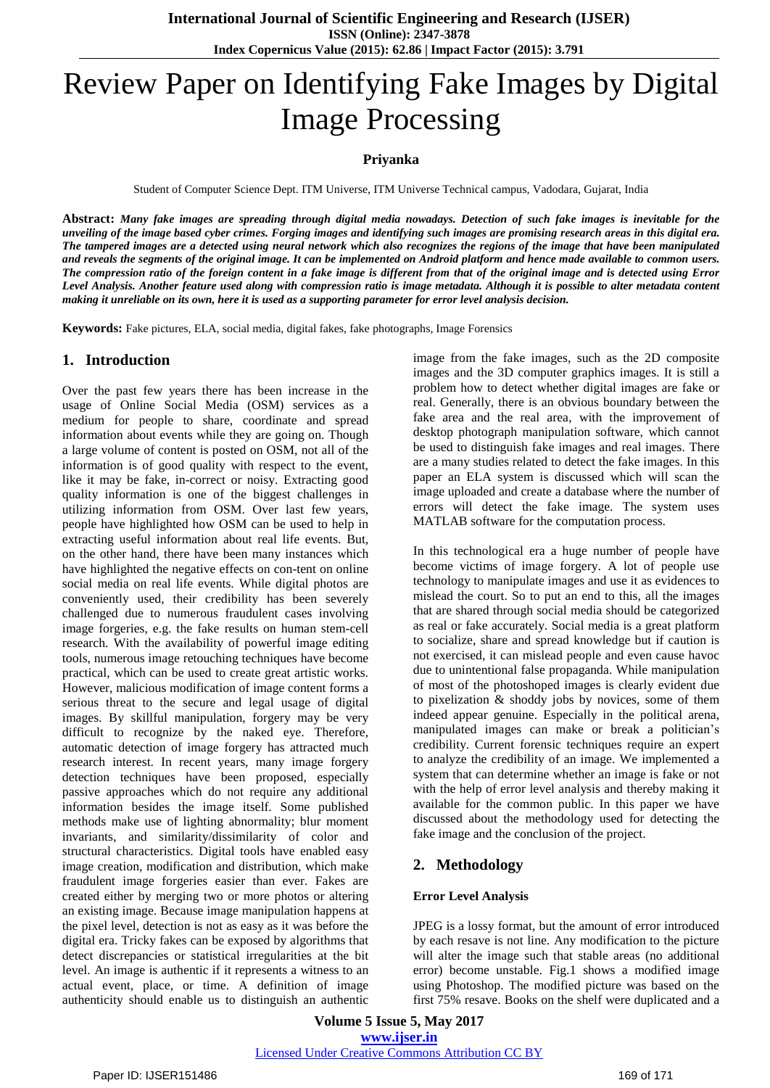# Review Paper on Identifying Fake Images by Digital Image Processing

#### **Priyanka**

Student of Computer Science Dept. ITM Universe, ITM Universe Technical campus, Vadodara, Gujarat, India

Abstract: Many fake images are spreading through digital media nowadays. Detection of such fake images is inevitable for the unveiling of the image based cyber crimes. Forging images and identifying such images are promising research areas in this digital era. The tampered images are a detected using neural network which also recognizes the regions of the image that have been manipulated and reveals the segments of the original image. It can be implemented on Android platform and hence made available to common users. The compression ratio of the foreign content in a fake image is different from that of the original image and is detected using Error Level Analysis. Another feature used along with compression ratio is image metadata. Although it is possible to alter metadata content making it unreliable on its own, here it is used as a supporting parameter for error level analysis decision.

**Keywords:** Fake pictures, ELA, social media, digital fakes, fake photographs, Image Forensics

## **1. Introduction**

Over the past few years there has been increase in the usage of Online Social Media (OSM) services as a medium for people to share, coordinate and spread information about events while they are going on. Though a large volume of content is posted on OSM, not all of the information is of good quality with respect to the event, like it may be fake, in-correct or noisy. Extracting good quality information is one of the biggest challenges in utilizing information from OSM. Over last few years, people have highlighted how OSM can be used to help in extracting useful information about real life events. But, on the other hand, there have been many instances which have highlighted the negative effects on con-tent on online social media on real life events. While digital photos are conveniently used, their credibility has been severely challenged due to numerous fraudulent cases involving image forgeries, e.g. the fake results on human stem-cell research. With the availability of powerful image editing tools, numerous image retouching techniques have become practical, which can be used to create great artistic works. However, malicious modification of image content forms a serious threat to the secure and legal usage of digital images. By skillful manipulation, forgery may be very difficult to recognize by the naked eye. Therefore, automatic detection of image forgery has attracted much research interest. In recent years, many image forgery detection techniques have been proposed, especially passive approaches which do not require any additional information besides the image itself. Some published methods make use of lighting abnormality; blur moment invariants, and similarity/dissimilarity of color and structural characteristics. Digital tools have enabled easy image creation, modification and distribution, which make fraudulent image forgeries easier than ever. Fakes are created either by merging two or more photos or altering an existing image. Because image manipulation happens at the pixel level, detection is not as easy as it was before the digital era. Tricky fakes can be exposed by algorithms that detect discrepancies or statistical irregularities at the bit level. An image is authentic if it represents a witness to an actual event, place, or time. A definition of image authenticity should enable us to distinguish an authentic

image from the fake images, such as the 2D composite images and the 3D computer graphics images. It is still a problem how to detect whether digital images are fake or real. Generally, there is an obvious boundary between the fake area and the real area, with the improvement of desktop photograph manipulation software, which cannot be used to distinguish fake images and real images. There are a many studies related to detect the fake images. In this paper an ELA system is discussed which will scan the image uploaded and create a database where the number of errors will detect the fake image. The system uses MATLAB software for the computation process.

In this technological era a huge number of people have become victims of image forgery. A lot of people use technology to manipulate images and use it as evidences to mislead the court. So to put an end to this, all the images that are shared through social media should be categorized as real or fake accurately. Social media is a great platform to socialize, share and spread knowledge but if caution is not exercised, it can mislead people and even cause havoc due to unintentional false propaganda. While manipulation of most of the photoshoped images is clearly evident due to pixelization & shoddy jobs by novices, some of them indeed appear genuine. Especially in the political arena, manipulated images can make or break a politician"s credibility. Current forensic techniques require an expert to analyze the credibility of an image. We implemented a system that can determine whether an image is fake or not with the help of error level analysis and thereby making it available for the common public. In this paper we have discussed about the methodology used for detecting the fake image and the conclusion of the project.

## **2. Methodology**

#### **Error Level Analysis**

JPEG is a lossy format, but the amount of error introduced by each resave is not line. Any modification to the picture will alter the image such that stable areas (no additional error) become unstable. Fig.1 shows a modified image using Photoshop. The modified picture was based on the first 75% resave. Books on the shelf were duplicated and a

**Volume 5 Issue 5, May 2017 www.ijser.in** Licensed Under Creative Commons Attribution CC BY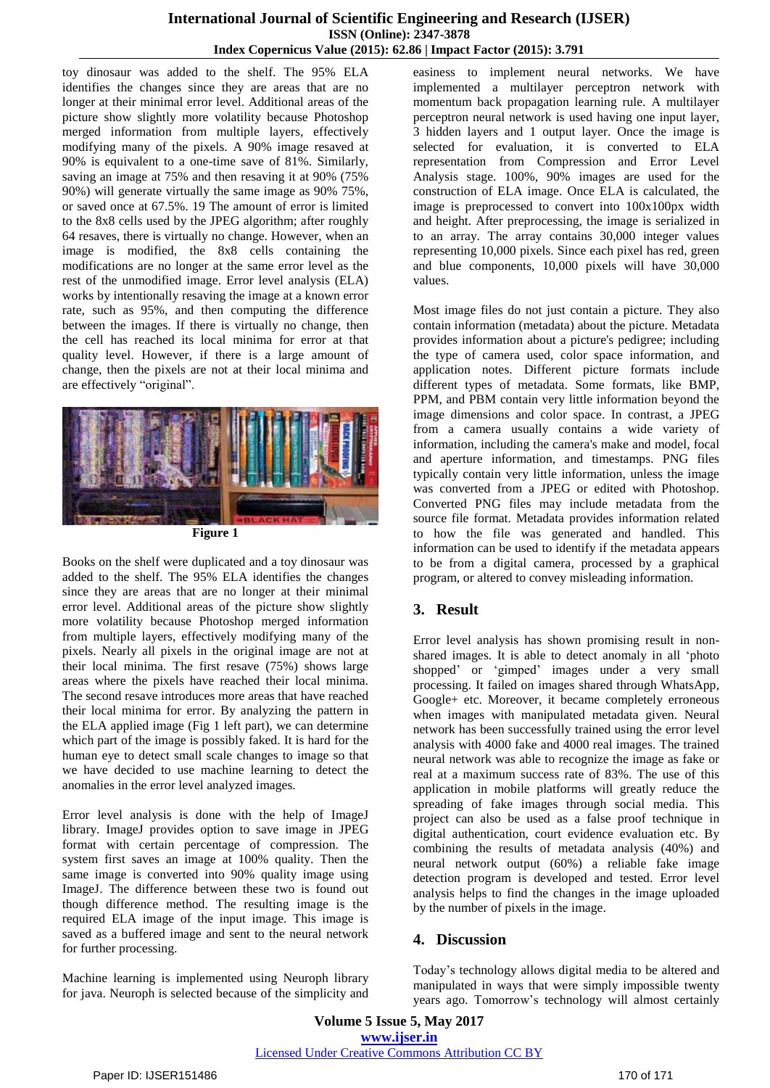toy dinosaur was added to the shelf. The 95% ELA identifies the changes since they are areas that are no longer at their minimal error level. Additional areas of the picture show slightly more volatility because Photoshop merged information from multiple layers, effectively modifying many of the pixels. A 90% image resaved at 90% is equivalent to a one-time save of 81%. Similarly, saving an image at 75% and then resaving it at 90% (75% 90%) will generate virtually the same image as 90% 75%, or saved once at 67.5%. 19 The amount of error is limited to the 8x8 cells used by the JPEG algorithm; after roughly 64 resaves, there is virtually no change. However, when an image is modified, the 8x8 cells containing the modifications are no longer at the same error level as the rest of the unmodified image. Error level analysis (ELA) works by intentionally resaving the image at a known error rate, such as 95%, and then computing the difference between the images. If there is virtually no change, then the cell has reached its local minima for error at that quality level. However, if there is a large amount of change, then the pixels are not at their local minima and are effectively "original".



**Figure 1**

Books on the shelf were duplicated and a toy dinosaur was added to the shelf. The 95% ELA identifies the changes since they are areas that are no longer at their minimal error level. Additional areas of the picture show slightly more volatility because Photoshop merged information from multiple layers, effectively modifying many of the pixels. Nearly all pixels in the original image are not at their local minima. The first resave (75%) shows large areas where the pixels have reached their local minima. The second resave introduces more areas that have reached their local minima for error. By analyzing the pattern in the ELA applied image (Fig 1 left part), we can determine which part of the image is possibly faked. It is hard for the human eye to detect small scale changes to image so that we have decided to use machine learning to detect the anomalies in the error level analyzed images.

Error level analysis is done with the help of ImageJ library. ImageJ provides option to save image in JPEG format with certain percentage of compression. The system first saves an image at 100% quality. Then the same image is converted into 90% quality image using ImageJ. The difference between these two is found out though difference method. The resulting image is the required ELA image of the input image. This image is saved as a buffered image and sent to the neural network for further processing.

Machine learning is implemented using Neuroph library for java. Neuroph is selected because of the simplicity and easiness to implement neural networks. We have implemented a multilayer perceptron network with momentum back propagation learning rule. A multilayer perceptron neural network is used having one input layer, 3 hidden layers and 1 output layer. Once the image is selected for evaluation, it is converted to ELA representation from Compression and Error Level Analysis stage. 100%, 90% images are used for the construction of ELA image. Once ELA is calculated, the image is preprocessed to convert into 100x100px width and height. After preprocessing, the image is serialized in to an array. The array contains 30,000 integer values representing 10,000 pixels. Since each pixel has red, green and blue components, 10,000 pixels will have 30,000 values.

Most image files do not just contain a picture. They also contain information (metadata) about the picture. Metadata provides information about a picture's pedigree; including the type of camera used, color space information, and application notes. Different picture formats include different types of metadata. Some formats, like BMP, PPM, and PBM contain very little information beyond the image dimensions and color space. In contrast, a JPEG from a camera usually contains a wide variety of information, including the camera's make and model, focal and aperture information, and timestamps. PNG files typically contain very little information, unless the image was converted from a JPEG or edited with Photoshop. Converted PNG files may include metadata from the source file format. Metadata provides information related to how the file was generated and handled. This information can be used to identify if the metadata appears to be from a digital camera, processed by a graphical program, or altered to convey misleading information.

# **3. Result**

Error level analysis has shown promising result in nonshared images. It is able to detect anomaly in all "photo shopped' or 'gimped' images under a very small processing. It failed on images shared through WhatsApp, Google+ etc. Moreover, it became completely erroneous when images with manipulated metadata given. Neural network has been successfully trained using the error level analysis with 4000 fake and 4000 real images. The trained neural network was able to recognize the image as fake or real at a maximum success rate of 83%. The use of this application in mobile platforms will greatly reduce the spreading of fake images through social media. This project can also be used as a false proof technique in digital authentication, court evidence evaluation etc. By combining the results of metadata analysis (40%) and neural network output (60%) a reliable fake image detection program is developed and tested. Error level analysis helps to find the changes in the image uploaded by the number of pixels in the image.

# **4. Discussion**

Today"s technology allows digital media to be altered and manipulated in ways that were simply impossible twenty years ago. Tomorrow's technology will almost certainly

**Volume 5 Issue 5, May 2017 www.ijser.in** Licensed Under Creative Commons Attribution CC BY